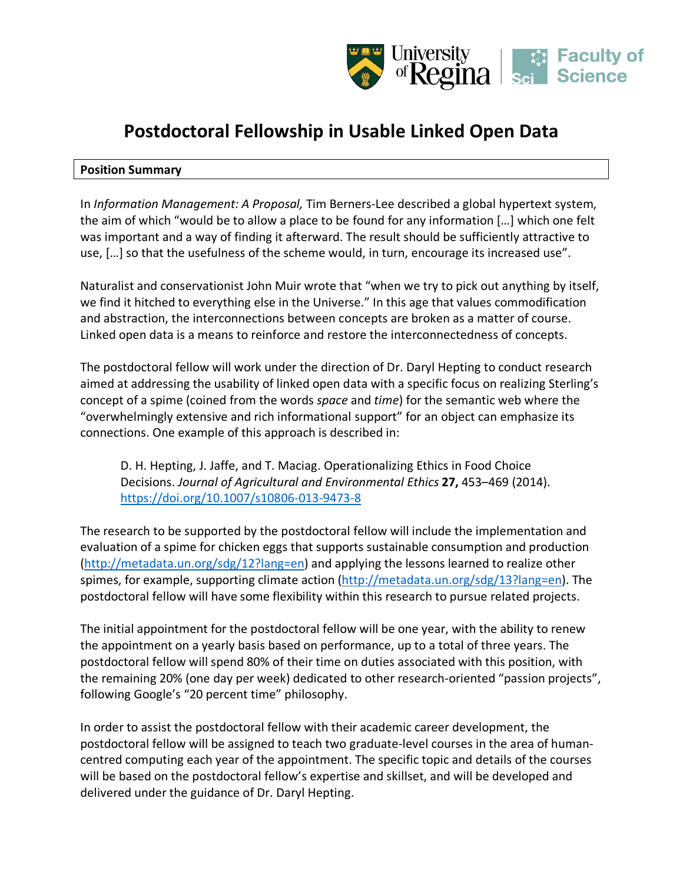

# **Postdoctoral Fellowship in Usable Linked Open Data**

# **Position Summary**

In *Information Management: A Proposal,* Tim Berners-Lee described a global hypertext system, the aim of which "would be to allow a place to be found for any information […] which one felt was important and a way of finding it afterward. The result should be sufficiently attractive to use, […] so that the usefulness of the scheme would, in turn, encourage its increased use".

Naturalist and conservationist John Muir wrote that "when we try to pick out anything by itself, we find it hitched to everything else in the Universe." In this age that values commodification and abstraction, the interconnections between concepts are broken as a matter of course. Linked open data is a means to reinforce and restore the interconnectedness of concepts.

The postdoctoral fellow will work under the direction of Dr. Daryl Hepting to conduct research aimed at addressing the usability of linked open data with a specific focus on realizing Sterling's concept of a spime (coined from the words *space* and *time*) for the semantic web where the "overwhelmingly extensive and rich informational support" for an object can emphasize its connections. One example of this approach is described in:

D. H. Hepting, J. Jaffe, and T. Maciag. Operationalizing Ethics in Food Choice Decisions. *Journal of Agricultural and Environmental Ethics* **27,** 453–469 (2014). https://doi.org/10.1007/s10806-013-9473-8

The research to be supported by the postdoctoral fellow will include the implementation and evaluation of a spime for chicken eggs that supports sustainable consumption and production (http://metadata.un.org/sdg/12?lang=en) and applying the lessons learned to realize other spimes, for example, supporting climate action (http://metadata.un.org/sdg/13?lang=en). The postdoctoral fellow will have some flexibility within this research to pursue related projects.

The initial appointment for the postdoctoral fellow will be one year, with the ability to renew the appointment on a yearly basis based on performance, up to a total of three years. The postdoctoral fellow will spend 80% of their time on duties associated with this position, with the remaining 20% (one day per week) dedicated to other research-oriented "passion projects", following Google's "20 percent time" philosophy.

In order to assist the postdoctoral fellow with their academic career development, the postdoctoral fellow will be assigned to teach two graduate-level courses in the area of humancentred computing each year of the appointment. The specific topic and details of the courses will be based on the postdoctoral fellow's expertise and skillset, and will be developed and delivered under the guidance of Dr. Daryl Hepting.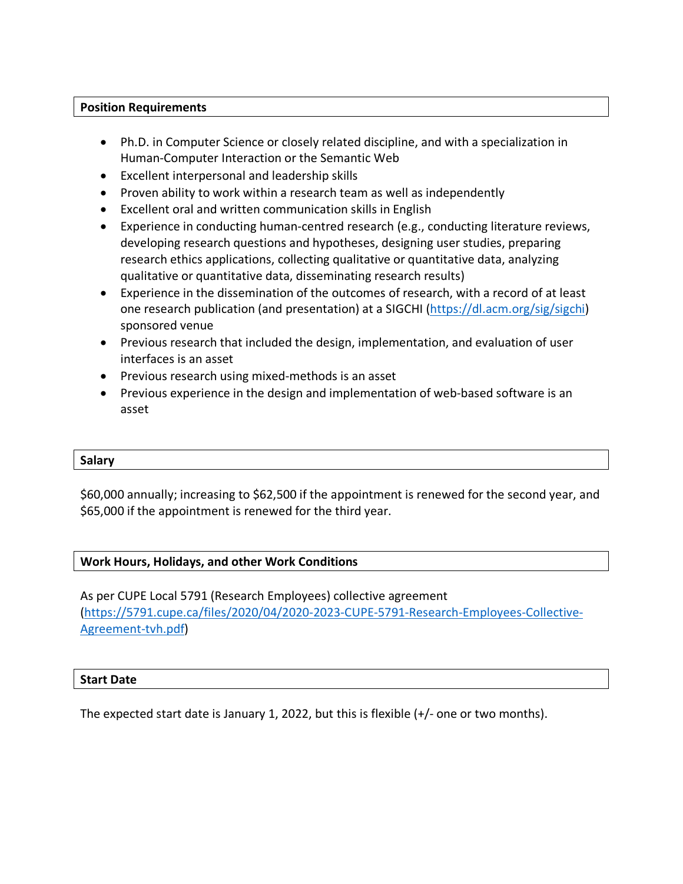# **Position Requirements**

- Ph.D. in Computer Science or closely related discipline, and with a specialization in Human-Computer Interaction or the Semantic Web
- Excellent interpersonal and leadership skills
- Proven ability to work within a research team as well as independently
- Excellent oral and written communication skills in English
- Experience in conducting human-centred research (e.g., conducting literature reviews, developing research questions and hypotheses, designing user studies, preparing research ethics applications, collecting qualitative or quantitative data, analyzing qualitative or quantitative data, disseminating research results)
- Experience in the dissemination of the outcomes of research, with a record of at least one research publication (and presentation) at a SIGCHI (https://dl.acm.org/sig/sigchi) sponsored venue
- Previous research that included the design, implementation, and evaluation of user interfaces is an asset
- Previous research using mixed-methods is an asset
- Previous experience in the design and implementation of web-based software is an asset

# **Salary**

\$60,000 annually; increasing to \$62,500 if the appointment is renewed for the second year, and \$65,000 if the appointment is renewed for the third year.

# **Work Hours, Holidays, and other Work Conditions**

As per CUPE Local 5791 (Research Employees) collective agreement (https://5791.cupe.ca/files/2020/04/2020-2023-CUPE-5791-Research-Employees-Collective-Agreement-tvh.pdf)

#### **Start Date**

The expected start date is January 1, 2022, but this is flexible (+/- one or two months).